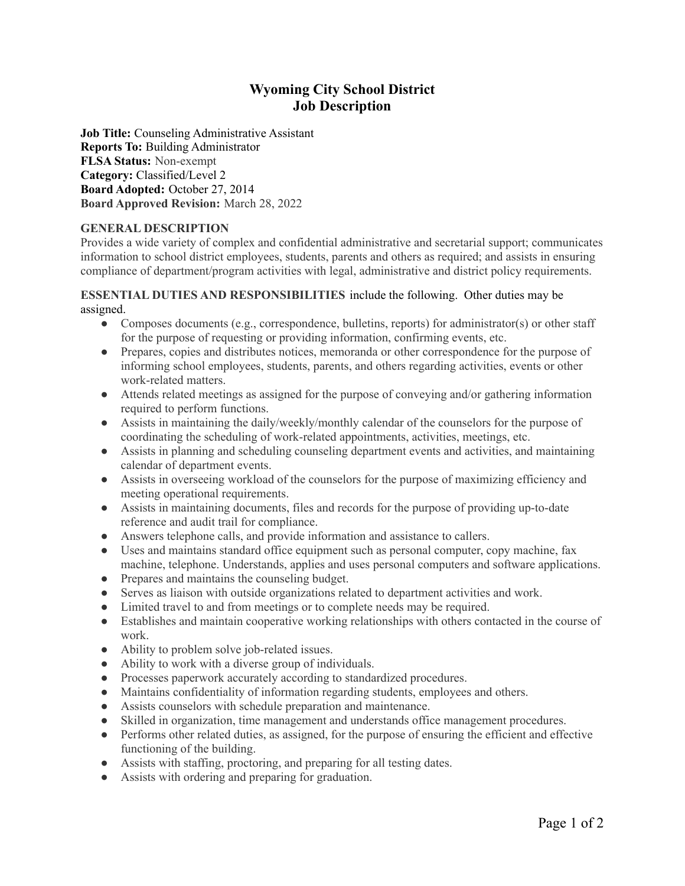# **Wyoming City School District Job Description**

**Job Title:** Counseling Administrative Assistant **Reports To:** Building Administrator **FLSA Status:** Non-exempt **Category:** Classified/Level 2 **Board Adopted:** October 27, 2014 **Board Approved Revision:** March 28, 2022

# **GENERAL DESCRIPTION**

Provides a wide variety of complex and confidential administrative and secretarial support; communicates information to school district employees, students, parents and others as required; and assists in ensuring compliance of department/program activities with legal, administrative and district policy requirements.

## **ESSENTIAL DUTIES AND RESPONSIBILITIES** include the following. Other duties may be assigned.

- Composes documents (e.g., correspondence, bulletins, reports) for administrator(s) or other staff for the purpose of requesting or providing information, confirming events, etc.
- Prepares, copies and distributes notices, memoranda or other correspondence for the purpose of informing school employees, students, parents, and others regarding activities, events or other work-related matters.
- Attends related meetings as assigned for the purpose of conveying and/or gathering information required to perform functions.
- Assists in maintaining the daily/weekly/monthly calendar of the counselors for the purpose of coordinating the scheduling of work-related appointments, activities, meetings, etc.
- Assists in planning and scheduling counseling department events and activities, and maintaining calendar of department events.
- Assists in overseeing workload of the counselors for the purpose of maximizing efficiency and meeting operational requirements.
- Assists in maintaining documents, files and records for the purpose of providing up-to-date reference and audit trail for compliance.
- Answers telephone calls, and provide information and assistance to callers.
- Uses and maintains standard office equipment such as personal computer, copy machine, fax machine, telephone. Understands, applies and uses personal computers and software applications.
- Prepares and maintains the counseling budget.
- Serves as liaison with outside organizations related to department activities and work.
- Limited travel to and from meetings or to complete needs may be required.
- Establishes and maintain cooperative working relationships with others contacted in the course of work.
- Ability to problem solve job-related issues.
- Ability to work with a diverse group of individuals.
- Processes paperwork accurately according to standardized procedures.
- Maintains confidentiality of information regarding students, employees and others.
- Assists counselors with schedule preparation and maintenance.
- Skilled in organization, time management and understands office management procedures.
- Performs other related duties, as assigned, for the purpose of ensuring the efficient and effective functioning of the building.
- Assists with staffing, proctoring, and preparing for all testing dates.
- Assists with ordering and preparing for graduation.